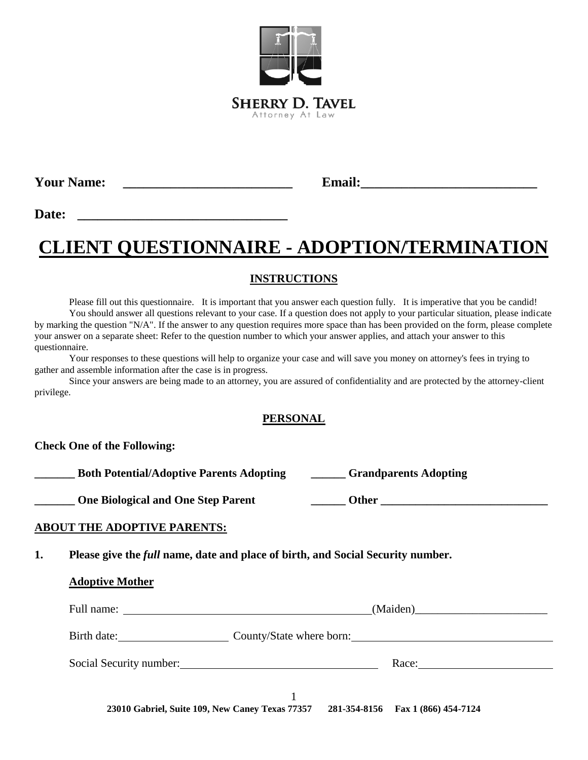

**Your Name: \_\_\_\_\_\_\_\_\_\_\_\_\_\_\_\_\_\_\_\_\_\_\_\_\_ Email:\_\_\_\_\_\_\_\_\_\_\_\_\_\_\_\_\_\_\_\_\_\_\_\_\_\_**

**Date: \_\_\_\_\_\_\_\_\_\_\_\_\_\_\_\_\_\_\_\_\_\_\_\_\_\_\_\_\_\_\_**

# **CLIENT QUESTIONNAIRE - ADOPTION/TERMINATION**

### **INSTRUCTIONS**

Please fill out this questionnaire. It is important that you answer each question fully. It is imperative that you be candid! You should answer all questions relevant to your case. If a question does not apply to your particular situation, please indicate by marking the question "N/A". If the answer to any question requires more space than has been provided on the form, please complete your answer on a separate sheet: Refer to the question number to which your answer applies, and attach your answer to this questionnaire.

Your responses to these questions will help to organize your case and will save you money on attorney's fees in trying to gather and assemble information after the case is in progress.

Since your answers are being made to an attorney, you are assured of confidentiality and are protected by the attorney-client privilege.

#### **PERSONAL**

#### **Check One of the Following:**

**\_\_\_\_\_\_\_ Both Potential/Adoptive Parents Adopting \_\_\_\_\_\_ Grandparents Adopting**

**Physical and One Step Parent** 

| <b>Other</b> |  |  |
|--------------|--|--|
|              |  |  |

#### **ABOUT THE ADOPTIVE PARENTS:**

**1. Please give the** *full* **name, date and place of birth, and Social Security number.**

|                         | Birth date: County/State where born: |
|-------------------------|--------------------------------------|
| Social Security number: | Race:                                |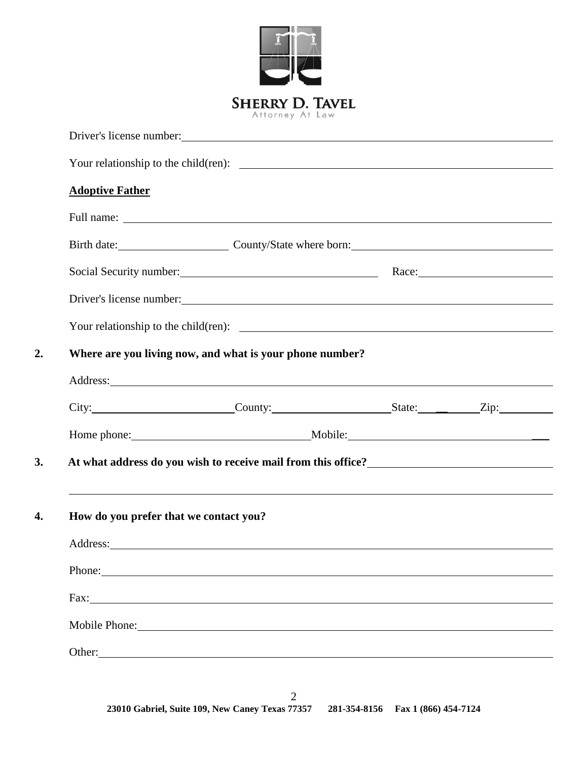|                                        | <b>SHERRY D. TAVEL</b>                                                                                                                                                                                                               |  |
|----------------------------------------|--------------------------------------------------------------------------------------------------------------------------------------------------------------------------------------------------------------------------------------|--|
|                                        | Attorney At Law                                                                                                                                                                                                                      |  |
|                                        |                                                                                                                                                                                                                                      |  |
| <b>Adoptive Father</b>                 |                                                                                                                                                                                                                                      |  |
|                                        |                                                                                                                                                                                                                                      |  |
|                                        | Birth date: County/State where born: County County and County State where born:                                                                                                                                                      |  |
|                                        | Social Security number: Race: Race:                                                                                                                                                                                                  |  |
|                                        |                                                                                                                                                                                                                                      |  |
|                                        |                                                                                                                                                                                                                                      |  |
|                                        |                                                                                                                                                                                                                                      |  |
|                                        |                                                                                                                                                                                                                                      |  |
|                                        | Where are you living now, and what is your phone number?                                                                                                                                                                             |  |
|                                        | City: City: County: County: County: State: Zip:                                                                                                                                                                                      |  |
|                                        |                                                                                                                                                                                                                                      |  |
|                                        | At what address do you wish to receive mail from this office?                                                                                                                                                                        |  |
|                                        |                                                                                                                                                                                                                                      |  |
|                                        |                                                                                                                                                                                                                                      |  |
|                                        |                                                                                                                                                                                                                                      |  |
|                                        | Address: <u>example and the contract of the contract of the contract of the contract of the contract of the contract of the contract of the contract of the contract of the contract of the contract of the contract of the cont</u> |  |
| How do you prefer that we contact you? | Phone:                                                                                                                                                                                                                               |  |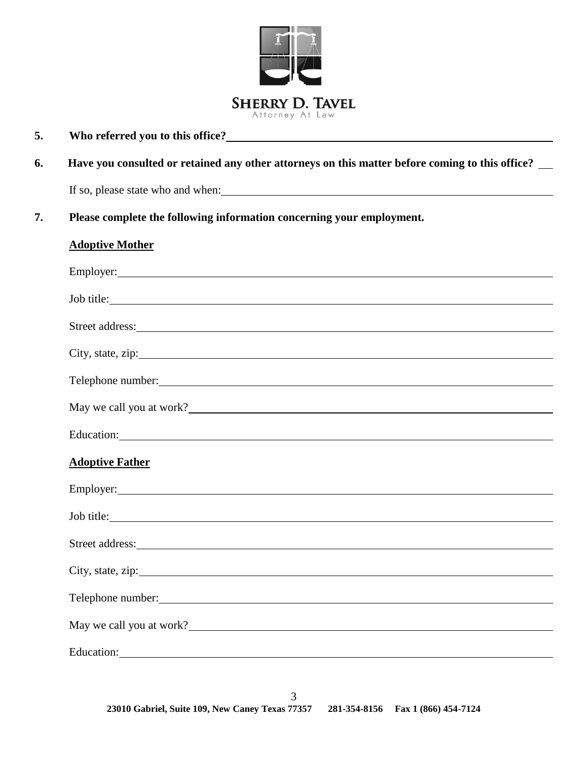

## **5. Who referred you to this office?**

## **6. Have you consulted or retained any other attorneys on this matter before coming to this office?**

If so, please state who and when:

### **7. Please complete the following information concerning your employment.**

#### **Adoptive Mother**

| Job title:                                                                                                                                                                                                                           |
|--------------------------------------------------------------------------------------------------------------------------------------------------------------------------------------------------------------------------------------|
|                                                                                                                                                                                                                                      |
|                                                                                                                                                                                                                                      |
| Telephone number:                                                                                                                                                                                                                    |
|                                                                                                                                                                                                                                      |
| May we call you at work?                                                                                                                                                                                                             |
|                                                                                                                                                                                                                                      |
| <b>Adoptive Father</b>                                                                                                                                                                                                               |
|                                                                                                                                                                                                                                      |
| Job title:                                                                                                                                                                                                                           |
|                                                                                                                                                                                                                                      |
| City, state, zip:                                                                                                                                                                                                                    |
| Telephone number:<br>Telephone number:                                                                                                                                                                                               |
|                                                                                                                                                                                                                                      |
| May we call you at work?                                                                                                                                                                                                             |
| Education: <u>contract the contract of the contract of the contract of the contract of the contract of the contract of the contract of the contract of the contract of the contract of the contract of the contract of the contr</u> |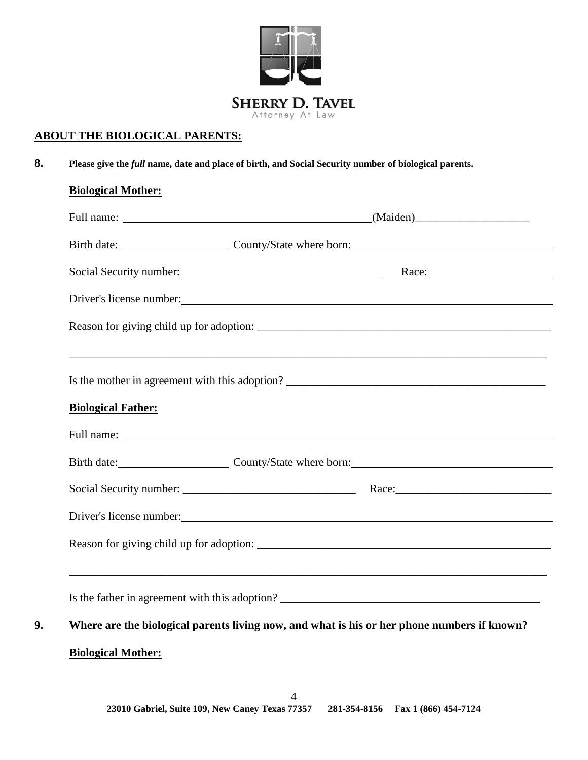

### **ABOUT THE BIOLOGICAL PARENTS:**

**8. Please give the** *full* **name, date and place of birth, and Social Security number of biological parents.**

#### **Biological Mother:**

|                           | Birth date: County/State where born:                                                                                                                                                                                           |
|---------------------------|--------------------------------------------------------------------------------------------------------------------------------------------------------------------------------------------------------------------------------|
|                           | Social Security number: Mace: Race: Race: Race: Race: Race: Race: Race: Race: Race: Race: Race: Race: Race: Race: Race: Race: Race: Race: Race: Race: Race: Race: Race: Race: Race: Race: Race: Race: Race: Race: Race: Race:  |
|                           |                                                                                                                                                                                                                                |
|                           |                                                                                                                                                                                                                                |
|                           |                                                                                                                                                                                                                                |
|                           |                                                                                                                                                                                                                                |
| <b>Biological Father:</b> |                                                                                                                                                                                                                                |
|                           |                                                                                                                                                                                                                                |
|                           | Birth date: County/State where born: County-State in the county of the county of the county of the county of the county of the county of the county of the county of the county of the county of the county of the county of t |
|                           |                                                                                                                                                                                                                                |
|                           | Driver's license number:                                                                                                                                                                                                       |
|                           |                                                                                                                                                                                                                                |
|                           |                                                                                                                                                                                                                                |
|                           | Where are the biological parents living now, and what is his or her phone numbers if known?                                                                                                                                    |
| <b>Biological Mother:</b> |                                                                                                                                                                                                                                |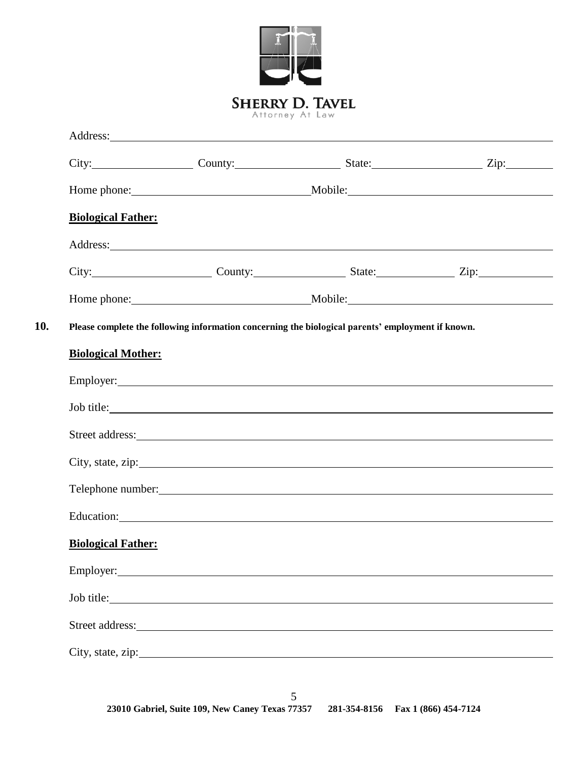|                           |                                                                                                                                                                                                                                              | <b>SHERRY D. TAVEL</b><br>Attorney At Law |  |
|---------------------------|----------------------------------------------------------------------------------------------------------------------------------------------------------------------------------------------------------------------------------------------|-------------------------------------------|--|
|                           |                                                                                                                                                                                                                                              |                                           |  |
|                           | City: City: County: County: State: State: Zip:                                                                                                                                                                                               |                                           |  |
|                           |                                                                                                                                                                                                                                              |                                           |  |
| <b>Biological Father:</b> |                                                                                                                                                                                                                                              |                                           |  |
|                           | Address: <u>and the same of the same of the same of the same of the same of the same of the same of the same of the same of the same of the same of the same of the same of the same of the same of the same of the same of the </u>         |                                           |  |
|                           | City: City: County: County: State: Zip: Zip:                                                                                                                                                                                                 |                                           |  |
|                           |                                                                                                                                                                                                                                              |                                           |  |
|                           | Please complete the following information concerning the biological parents' employment if known.                                                                                                                                            |                                           |  |
| <b>Biological Mother:</b> | Employer: Employer:                                                                                                                                                                                                                          |                                           |  |
|                           | Job title:<br>Street address: Note and the state of the state of the state of the state of the state of the state of the state of the state of the state of the state of the state of the state of the state of the state of the state of th |                                           |  |
|                           | City, state, zip:                                                                                                                                                                                                                            |                                           |  |
|                           |                                                                                                                                                                                                                                              |                                           |  |
|                           |                                                                                                                                                                                                                                              |                                           |  |
| <b>Biological Father:</b> |                                                                                                                                                                                                                                              |                                           |  |
|                           | Employer: Note a series that the series of the series of the series of the series of the series of the series of the series of the series of the series of the series of the series of the series of the series of the series                |                                           |  |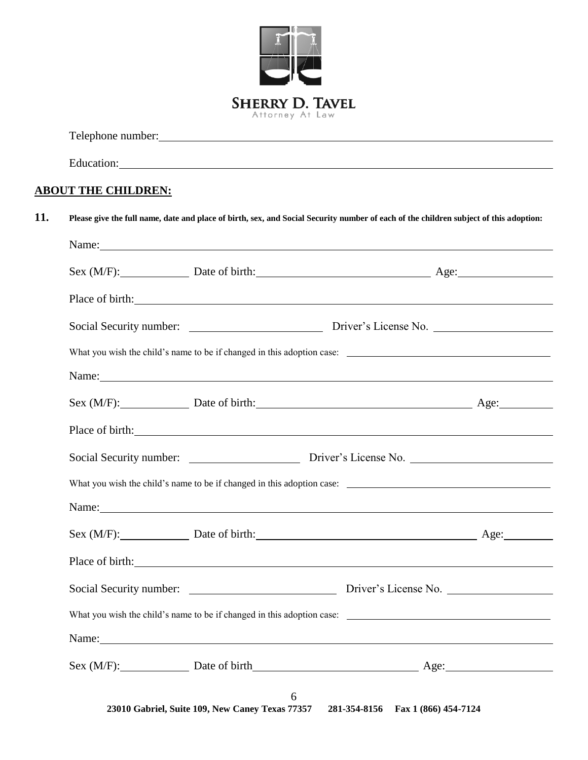

Telephone number: <u>contract the contract of the contract of the contract of the contract of the contract of the contract of the contract of the contract of the contract of the contract of the contract of the contract of th</u>

Education: Equation:

#### **ABOUT THE CHILDREN:**

| Sex (M/F): Date of birth: Age: Age:                                                                                                                                                                                            |                                    |  |
|--------------------------------------------------------------------------------------------------------------------------------------------------------------------------------------------------------------------------------|------------------------------------|--|
| Place of birth: Note of birth:                                                                                                                                                                                                 |                                    |  |
| Social Security number: Driver's License No.                                                                                                                                                                                   |                                    |  |
|                                                                                                                                                                                                                                |                                    |  |
| Name: Name and the state of the state of the state of the state of the state of the state of the state of the state of the state of the state of the state of the state of the state of the state of the state of the state of |                                    |  |
| Sex (M/F): Date of birth: Age: Age:                                                                                                                                                                                            |                                    |  |
| Place of birth: <u>contained</u> and contained a series of birth:                                                                                                                                                              |                                    |  |
| Social Security number: Driver's License No.                                                                                                                                                                                   |                                    |  |
| What you wish the child's name to be if changed in this adoption case:                                                                                                                                                         |                                    |  |
| Name: Name and the set of the set of the set of the set of the set of the set of the set of the set of the set of the set of the set of the set of the set of the set of the set of the set of the set of the set of the set o |                                    |  |
| Sex (M/F): Date of birth: Age: Age:                                                                                                                                                                                            |                                    |  |
| Place of birth: <u>contained</u> and the contact of birth:                                                                                                                                                                     |                                    |  |
|                                                                                                                                                                                                                                |                                    |  |
|                                                                                                                                                                                                                                |                                    |  |
| Name: Name and the state of the state of the state of the state of the state of the state of the state of the state of the state of the state of the state of the state of the state of the state of the state of the state of |                                    |  |
|                                                                                                                                                                                                                                | Sex (M/F): Date of birth Age: Age: |  |

**23010 Gabriel, Suite 109, New Caney Texas 77357 281-354-8156 Fax 1 (866) 454-7124**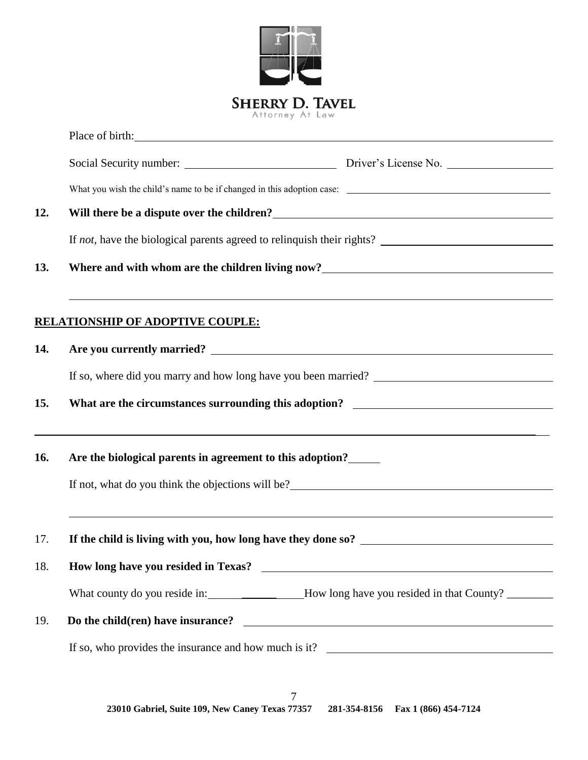

**23010 Gabriel, Suite 109, New Caney Texas 77357 281-354-8156 Fax 1 (866) 454-7124** 7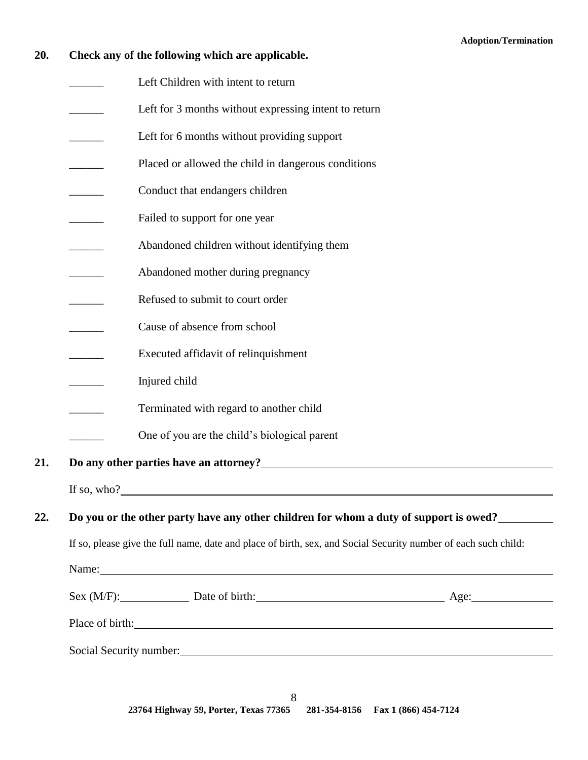## **20. Check any of the following which are applicable.**

Left Children with intent to return

|     | Left for 3 months without expressing intent to return                                                                                                                                                                                                                                                                                    |  |
|-----|------------------------------------------------------------------------------------------------------------------------------------------------------------------------------------------------------------------------------------------------------------------------------------------------------------------------------------------|--|
|     | Left for 6 months without providing support                                                                                                                                                                                                                                                                                              |  |
|     | Placed or allowed the child in dangerous conditions                                                                                                                                                                                                                                                                                      |  |
|     | Conduct that endangers children                                                                                                                                                                                                                                                                                                          |  |
|     | Failed to support for one year                                                                                                                                                                                                                                                                                                           |  |
|     | Abandoned children without identifying them                                                                                                                                                                                                                                                                                              |  |
|     | Abandoned mother during pregnancy                                                                                                                                                                                                                                                                                                        |  |
|     | Refused to submit to court order                                                                                                                                                                                                                                                                                                         |  |
|     | Cause of absence from school                                                                                                                                                                                                                                                                                                             |  |
|     | Executed affidavit of relinquishment                                                                                                                                                                                                                                                                                                     |  |
|     | Injured child                                                                                                                                                                                                                                                                                                                            |  |
|     | Terminated with regard to another child                                                                                                                                                                                                                                                                                                  |  |
|     | One of you are the child's biological parent                                                                                                                                                                                                                                                                                             |  |
| 21. | Do any other parties have an attorney?<br><u>Letting and the contract of the contract of the contract of the contract of the contract of the contract of the contract of the contract of the contract of the contract of the contr</u>                                                                                                   |  |
|     | If so, who? $\qquad \qquad$ $\qquad$ $\qquad$ $\qquad$ $\qquad$ $\qquad$ $\qquad$ $\qquad$ $\qquad$ $\qquad$ $\qquad$ $\qquad$ $\qquad$ $\qquad$ $\qquad$ $\qquad$ $\qquad$ $\qquad$ $\qquad$ $\qquad$ $\qquad$ $\qquad$ $\qquad$ $\qquad$ $\qquad$ $\qquad$ $\qquad$ $\qquad$ $\qquad$ $\qquad$ $\qquad$ $\qquad$ $\qquad$ $\qquad$ $\$ |  |
| 22. | Do you or the other party have any other children for whom a duty of support is owed?                                                                                                                                                                                                                                                    |  |
|     | If so, please give the full name, date and place of birth, sex, and Social Security number of each such child:                                                                                                                                                                                                                           |  |
|     | Name: Name: Name: Name: Name: Name: Name: Name: Name: Name: Name: Name: Name: Name: Name: Name: Name: Name: Name: Name: Name: Name: Name: Name: Name: Name: Name: Name: Name: Name: Name: Name: Name: Name: Name: Name: Name:                                                                                                            |  |
|     | Sex (M/F): Date of birth: Age: Age:                                                                                                                                                                                                                                                                                                      |  |
|     | Place of birth:                                                                                                                                                                                                                                                                                                                          |  |
|     | Social Security number:                                                                                                                                                                                                                                                                                                                  |  |
|     |                                                                                                                                                                                                                                                                                                                                          |  |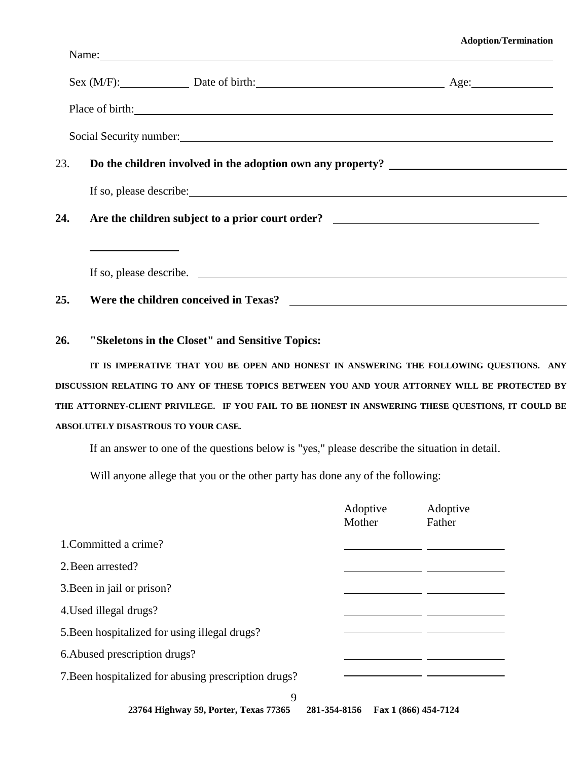#### **Adoption/Termination**

|     |                                     | Name: Name and the state of the state of the state of the state of the state of the state of the state of the state of the state of the state of the state of the state of the state of the state of the state of the state of |                    |                                                                                                                                                                                                                                    |
|-----|-------------------------------------|--------------------------------------------------------------------------------------------------------------------------------------------------------------------------------------------------------------------------------|--------------------|------------------------------------------------------------------------------------------------------------------------------------------------------------------------------------------------------------------------------------|
|     |                                     |                                                                                                                                                                                                                                |                    | Sex (M/F): Date of birth: Age: Age:                                                                                                                                                                                                |
|     |                                     |                                                                                                                                                                                                                                |                    | Place of birth: <u>contained</u> and the contained and the contact of birth contained and the contact of birth contact of the contact of the contact of the contact of the contact of the contact of the contact of the contact of |
|     |                                     |                                                                                                                                                                                                                                |                    | Social Security number:                                                                                                                                                                                                            |
| 23. |                                     |                                                                                                                                                                                                                                |                    | Do the children involved in the adoption own any property? ______________________                                                                                                                                                  |
|     |                                     |                                                                                                                                                                                                                                |                    |                                                                                                                                                                                                                                    |
| 24. |                                     |                                                                                                                                                                                                                                |                    | Are the children subject to a prior court order? ________________________________                                                                                                                                                  |
|     |                                     |                                                                                                                                                                                                                                |                    |                                                                                                                                                                                                                                    |
|     |                                     |                                                                                                                                                                                                                                |                    | If so, please describe.                                                                                                                                                                                                            |
| 25. |                                     |                                                                                                                                                                                                                                |                    |                                                                                                                                                                                                                                    |
| 26. |                                     | "Skeletons in the Closet" and Sensitive Topics:                                                                                                                                                                                |                    |                                                                                                                                                                                                                                    |
|     |                                     |                                                                                                                                                                                                                                |                    | IT IS IMPERATIVE THAT YOU BE OPEN AND HONEST IN ANSWERING THE FOLLOWING QUESTIONS. ANY                                                                                                                                             |
|     |                                     |                                                                                                                                                                                                                                |                    | DISCUSSION RELATING TO ANY OF THESE TOPICS BETWEEN YOU AND YOUR ATTORNEY WILL BE PROTECTED BY                                                                                                                                      |
|     | ABSOLUTELY DISASTROUS TO YOUR CASE. |                                                                                                                                                                                                                                |                    | THE ATTORNEY-CLIENT PRIVILEGE. IF YOU FAIL TO BE HONEST IN ANSWERING THESE QUESTIONS, IT COULD BE                                                                                                                                  |
|     |                                     | If an answer to one of the questions below is "yes," please describe the situation in detail.                                                                                                                                  |                    |                                                                                                                                                                                                                                    |
|     |                                     | Will anyone allege that you or the other party has done any of the following:                                                                                                                                                  |                    |                                                                                                                                                                                                                                    |
|     |                                     |                                                                                                                                                                                                                                | Adoptive<br>Mother | Adoptive<br>Father                                                                                                                                                                                                                 |
|     | 1. Committed a crime?               |                                                                                                                                                                                                                                |                    |                                                                                                                                                                                                                                    |

2.Been arrested?

3.Been in jail or prison?

4.Used illegal drugs?

5.Been hospitalized for using illegal drugs?

6.Abused prescription drugs?

7.Been hospitalized for abusing prescription drugs?

9

**23764 Highway 59, Porter, Texas 77365 281-354-8156 Fax 1 (866) 454-7124**

 $\mathbf{r}$ 

 $\overline{\phantom{a}}$  , and the set of  $\overline{\phantom{a}}$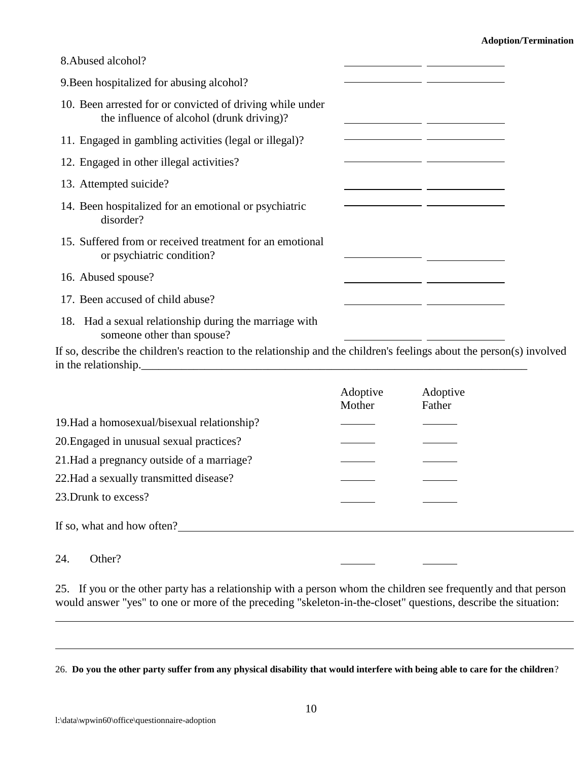| 8. Abused alcohol?                                                                                     |  |
|--------------------------------------------------------------------------------------------------------|--|
| 9. Been hospitalized for abusing alcohol?                                                              |  |
| 10. Been arrested for or convicted of driving while under<br>the influence of alcohol (drunk driving)? |  |
| 11. Engaged in gambling activities (legal or illegal)?                                                 |  |
| 12. Engaged in other illegal activities?                                                               |  |
| 13. Attempted suicide?                                                                                 |  |
| 14. Been hospitalized for an emotional or psychiatric<br>disorder?                                     |  |
| 15. Suffered from or received treatment for an emotional<br>or psychiatric condition?                  |  |
| 16. Abused spouse?                                                                                     |  |
| 17. Been accused of child abuse?                                                                       |  |
| 18. Had a sexual relationship during the marriage with<br>someone other than spouse?                   |  |

If so, describe the children's reaction to the relationship and the children's feelings about the person(s) involved in the relationship.

|                                             | Adoptive | Adoptive |
|---------------------------------------------|----------|----------|
|                                             | Mother   | Father   |
| 19. Had a homosexual/bisexual relationship? |          |          |
| 20. Engaged in unusual sexual practices?    |          |          |
| 21. Had a pregnancy outside of a marriage?  |          |          |
| 22. Had a sexually transmitted disease?     |          |          |
| 23. Drunk to excess?                        |          |          |
| If so, what and how often?                  |          |          |

#### 24. Other?

25. If you or the other party has a relationship with a person whom the children see frequently and that person would answer "yes" to one or more of the preceding "skeleton-in-the-closet" questions, describe the situation:

26. **Do you the other party suffer from any physical disability that would interfere with being able to care for the children**?